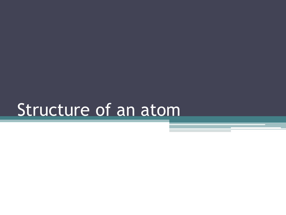# Structure of an atom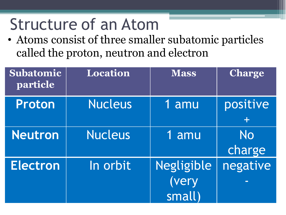# Structure of an Atom

• Atoms consist of three smaller subatomic particles called the proton, neutron and electron

| <b>Subatomic</b><br>particle | Location       | <b>Mass</b>                          | <b>Charge</b>       |
|------------------------------|----------------|--------------------------------------|---------------------|
| Proton                       | <b>Nucleus</b> | 1 amu                                | positive            |
| <b>Neutron</b>               | <b>Nucleus</b> | 1 amu                                | <b>No</b><br>charge |
| <b>Electron</b>              | In orbit       | <b>Negligible</b><br>(very<br>small) | negative<br>┍       |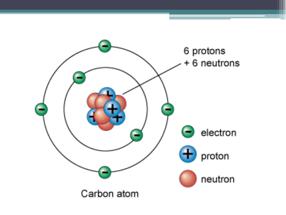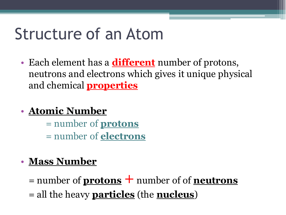## Structure of an Atom

• Each element has a **different** number of protons, neutrons and electrons which gives it unique physical and chemical **properties**

#### • **Atomic Number**

= number of **protons** = number of **electrons**

#### • **Mass Number**

 $=$  number of **protons**  $+$  number of of **neutrons** = all the heavy **particles** (the **nucleus**)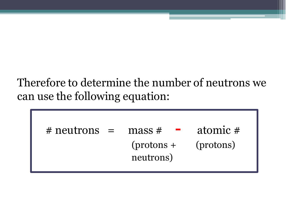#### Therefore to determine the number of neutrons we can use the following equation:

| $#$ neutrons $=$ | mass#<br><b>Contract Contract Contract</b> | atomic #  |
|------------------|--------------------------------------------|-----------|
|                  | $(protons +$<br>neutrons)                  | (protons) |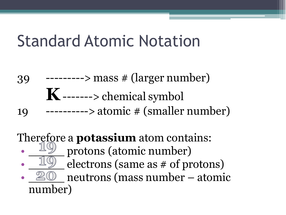## Standard Atomic Notation

- 39 ---------> mass # (larger number) **K** -------> chemical symbol
- 19  $-----> atomic \# (smaller number)$

### Therefore a **potassium** atom contains:

- protons (atomic number)
- electrons (same as  $\#$  of protons) neutrons (mass number – atomic number)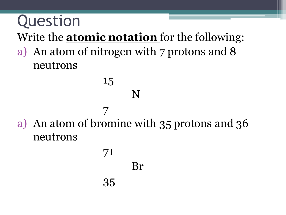## Question Write the **atomic notation** for the following: a) An atom of nitrogen with 7 protons and 8 neutrons

a) An atom of bromine with 35 protons and 36 neutrons

N

# Br

71

15

7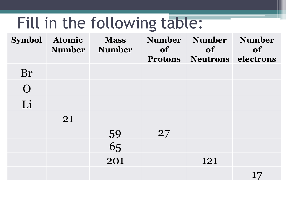# Fill in the following table:

| <b>Symbol</b> | Atomic<br><b>Number</b> | <b>Mass</b><br><b>Number</b> | <b>of</b> | Number Number Number<br><b>of</b><br><b>Protons Neutrons electrons</b> | <b>of</b> |
|---------------|-------------------------|------------------------------|-----------|------------------------------------------------------------------------|-----------|
| Br            |                         |                              |           |                                                                        |           |
| $\Omega$      |                         |                              |           |                                                                        |           |
| Li            |                         |                              |           |                                                                        |           |
|               | 21                      |                              |           |                                                                        |           |
|               |                         |                              | 27        |                                                                        |           |
|               |                         | 59<br>65                     |           |                                                                        |           |
|               |                         | 201                          |           | 121                                                                    |           |
|               |                         |                              |           |                                                                        | 17        |